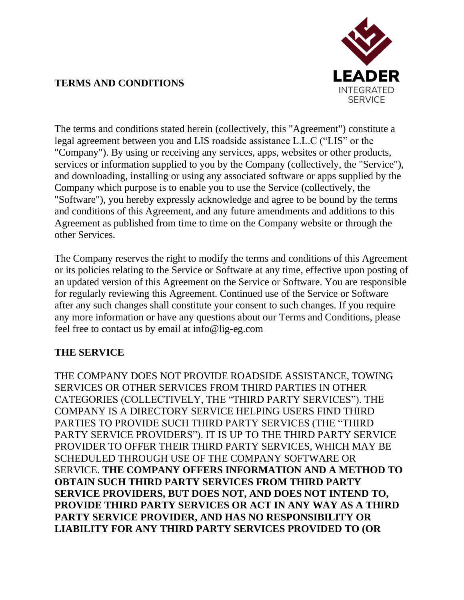

### **TERMS AND CONDITIONS**

The terms and conditions stated herein (collectively, this "Agreement") constitute a legal agreement between you and LIS roadside assistance L.L.C ("LIS" or the "Company"). By using or receiving any services, apps, websites or other products, services or information supplied to you by the Company (collectively, the "Service"), and downloading, installing or using any associated software or apps supplied by the Company which purpose is to enable you to use the Service (collectively, the "Software"), you hereby expressly acknowledge and agree to be bound by the terms and conditions of this Agreement, and any future amendments and additions to this Agreement as published from time to time on the Company website or through the other Services.

The Company reserves the right to modify the terms and conditions of this Agreement or its policies relating to the Service or Software at any time, effective upon posting of an updated version of this Agreement on the Service or Software. You are responsible for regularly reviewing this Agreement. Continued use of the Service or Software after any such changes shall constitute your consent to such changes. If you require any more information or have any questions about our Terms and Conditions, please feel free to contact us by email at info@lig-eg.com

### **THE SERVICE**

THE COMPANY DOES NOT PROVIDE ROADSIDE ASSISTANCE, TOWING SERVICES OR OTHER SERVICES FROM THIRD PARTIES IN OTHER CATEGORIES (COLLECTIVELY, THE "THIRD PARTY SERVICES"). THE COMPANY IS A DIRECTORY SERVICE HELPING USERS FIND THIRD PARTIES TO PROVIDE SUCH THIRD PARTY SERVICES (THE "THIRD PARTY SERVICE PROVIDERS"). IT IS UP TO THE THIRD PARTY SERVICE PROVIDER TO OFFER THEIR THIRD PARTY SERVICES, WHICH MAY BE SCHEDULED THROUGH USE OF THE COMPANY SOFTWARE OR SERVICE. **THE COMPANY OFFERS INFORMATION AND A METHOD TO OBTAIN SUCH THIRD PARTY SERVICES FROM THIRD PARTY SERVICE PROVIDERS, BUT DOES NOT, AND DOES NOT INTEND TO, PROVIDE THIRD PARTY SERVICES OR ACT IN ANY WAY AS A THIRD PARTY SERVICE PROVIDER, AND HAS NO RESPONSIBILITY OR LIABILITY FOR ANY THIRD PARTY SERVICES PROVIDED TO (OR**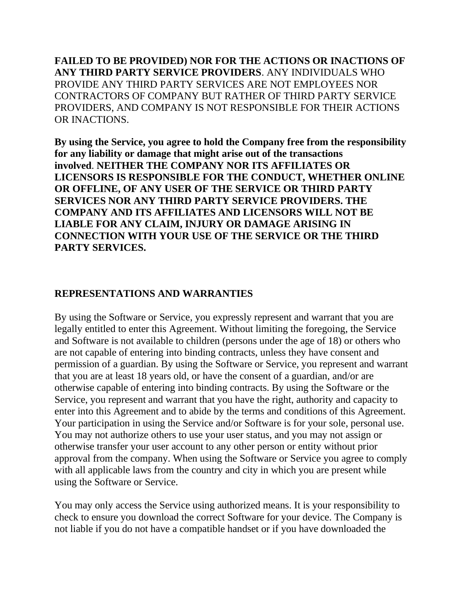**FAILED TO BE PROVIDED) NOR FOR THE ACTIONS OR INACTIONS OF ANY THIRD PARTY SERVICE PROVIDERS**. ANY INDIVIDUALS WHO PROVIDE ANY THIRD PARTY SERVICES ARE NOT EMPLOYEES NOR CONTRACTORS OF COMPANY BUT RATHER OF THIRD PARTY SERVICE PROVIDERS, AND COMPANY IS NOT RESPONSIBLE FOR THEIR ACTIONS OR INACTIONS.

**By using the Service, you agree to hold the Company free from the responsibility for any liability or damage that might arise out of the transactions involved**. **NEITHER THE COMPANY NOR ITS AFFILIATES OR LICENSORS IS RESPONSIBLE FOR THE CONDUCT, WHETHER ONLINE OR OFFLINE, OF ANY USER OF THE SERVICE OR THIRD PARTY SERVICES NOR ANY THIRD PARTY SERVICE PROVIDERS. THE COMPANY AND ITS AFFILIATES AND LICENSORS WILL NOT BE LIABLE FOR ANY CLAIM, INJURY OR DAMAGE ARISING IN CONNECTION WITH YOUR USE OF THE SERVICE OR THE THIRD PARTY SERVICES.**

#### **REPRESENTATIONS AND WARRANTIES**

By using the Software or Service, you expressly represent and warrant that you are legally entitled to enter this Agreement. Without limiting the foregoing, the Service and Software is not available to children (persons under the age of 18) or others who are not capable of entering into binding contracts, unless they have consent and permission of a guardian. By using the Software or Service, you represent and warrant that you are at least 18 years old, or have the consent of a guardian, and/or are otherwise capable of entering into binding contracts. By using the Software or the Service, you represent and warrant that you have the right, authority and capacity to enter into this Agreement and to abide by the terms and conditions of this Agreement. Your participation in using the Service and/or Software is for your sole, personal use. You may not authorize others to use your user status, and you may not assign or otherwise transfer your user account to any other person or entity without prior approval from the company. When using the Software or Service you agree to comply with all applicable laws from the country and city in which you are present while using the Software or Service.

You may only access the Service using authorized means. It is your responsibility to check to ensure you download the correct Software for your device. The Company is not liable if you do not have a compatible handset or if you have downloaded the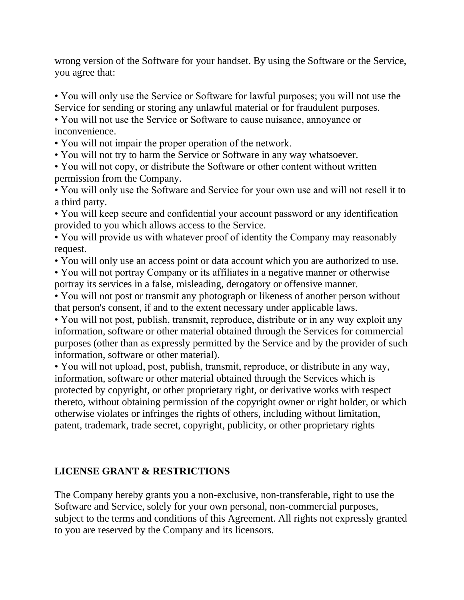wrong version of the Software for your handset. By using the Software or the Service, you agree that:

• You will only use the Service or Software for lawful purposes; you will not use the Service for sending or storing any unlawful material or for fraudulent purposes.

• You will not use the Service or Software to cause nuisance, annoyance or inconvenience.

• You will not impair the proper operation of the network.

• You will not try to harm the Service or Software in any way whatsoever.

• You will not copy, or distribute the Software or other content without written permission from the Company.

• You will only use the Software and Service for your own use and will not resell it to a third party.

• You will keep secure and confidential your account password or any identification provided to you which allows access to the Service.

• You will provide us with whatever proof of identity the Company may reasonably request.

• You will only use an access point or data account which you are authorized to use.

• You will not portray Company or its affiliates in a negative manner or otherwise portray its services in a false, misleading, derogatory or offensive manner.

• You will not post or transmit any photograph or likeness of another person without that person's consent, if and to the extent necessary under applicable laws.

• You will not post, publish, transmit, reproduce, distribute or in any way exploit any information, software or other material obtained through the Services for commercial purposes (other than as expressly permitted by the Service and by the provider of such information, software or other material).

• You will not upload, post, publish, transmit, reproduce, or distribute in any way, information, software or other material obtained through the Services which is protected by copyright, or other proprietary right, or derivative works with respect thereto, without obtaining permission of the copyright owner or right holder, or which otherwise violates or infringes the rights of others, including without limitation, patent, trademark, trade secret, copyright, publicity, or other proprietary rights

### **LICENSE GRANT & RESTRICTIONS**

The Company hereby grants you a non-exclusive, non-transferable, right to use the Software and Service, solely for your own personal, non-commercial purposes, subject to the terms and conditions of this Agreement. All rights not expressly granted to you are reserved by the Company and its licensors.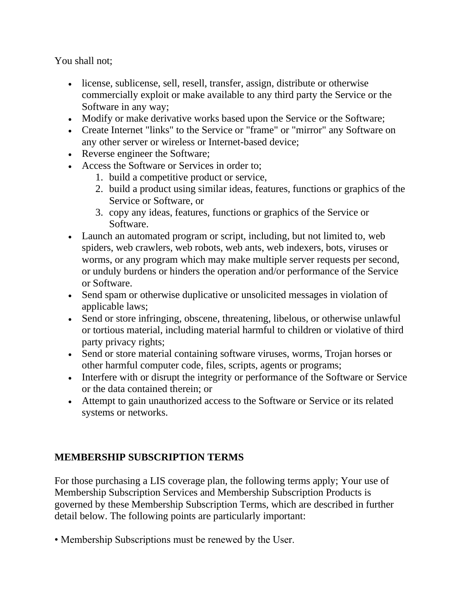You shall not;

- license, sublicense, sell, resell, transfer, assign, distribute or otherwise commercially exploit or make available to any third party the Service or the Software in any way;
- Modify or make derivative works based upon the Service or the Software;
- Create Internet "links" to the Service or "frame" or "mirror" any Software on any other server or wireless or Internet-based device;
- Reverse engineer the Software;
- Access the Software or Services in order to;
	- 1. build a competitive product or service,
	- 2. build a product using similar ideas, features, functions or graphics of the Service or Software, or
	- 3. copy any ideas, features, functions or graphics of the Service or Software.
- Launch an automated program or script, including, but not limited to, web spiders, web crawlers, web robots, web ants, web indexers, bots, viruses or worms, or any program which may make multiple server requests per second, or unduly burdens or hinders the operation and/or performance of the Service or Software.
- Send spam or otherwise duplicative or unsolicited messages in violation of applicable laws;
- Send or store infringing, obscene, threatening, libelous, or otherwise unlawful or tortious material, including material harmful to children or violative of third party privacy rights;
- Send or store material containing software viruses, worms, Trojan horses or other harmful computer code, files, scripts, agents or programs;
- Interfere with or disrupt the integrity or performance of the Software or Service or the data contained therein; or
- Attempt to gain unauthorized access to the Software or Service or its related systems or networks.

# **MEMBERSHIP SUBSCRIPTION TERMS**

For those purchasing a LIS coverage plan, the following terms apply; Your use of Membership Subscription Services and Membership Subscription Products is governed by these Membership Subscription Terms, which are described in further detail below. The following points are particularly important:

• Membership Subscriptions must be renewed by the User.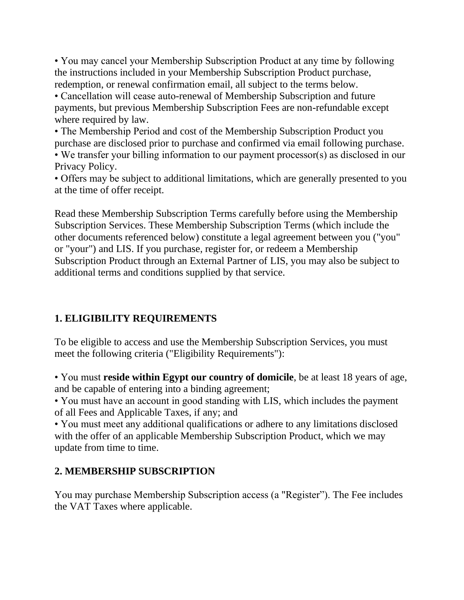• You may cancel your Membership Subscription Product at any time by following the instructions included in your Membership Subscription Product purchase, redemption, or renewal confirmation email, all subject to the terms below.

• Cancellation will cease auto-renewal of Membership Subscription and future payments, but previous Membership Subscription Fees are non-refundable except where required by law.

• The Membership Period and cost of the Membership Subscription Product you purchase are disclosed prior to purchase and confirmed via email following purchase.

• We transfer your billing information to our payment processor(s) as disclosed in our Privacy Policy.

• Offers may be subject to additional limitations, which are generally presented to you at the time of offer receipt.

Read these Membership Subscription Terms carefully before using the Membership Subscription Services. These Membership Subscription Terms (which include the other documents referenced below) constitute a legal agreement between you ("you" or "your") and LIS. If you purchase, register for, or redeem a Membership Subscription Product through an External Partner of LIS, you may also be subject to additional terms and conditions supplied by that service.

## **1. ELIGIBILITY REQUIREMENTS**

To be eligible to access and use the Membership Subscription Services, you must meet the following criteria ("Eligibility Requirements"):

• You must **reside within Egypt our country of domicile**, be at least 18 years of age, and be capable of entering into a binding agreement;

• You must have an account in good standing with LIS, which includes the payment of all Fees and Applicable Taxes, if any; and

• You must meet any additional qualifications or adhere to any limitations disclosed with the offer of an applicable Membership Subscription Product, which we may update from time to time.

## **2. MEMBERSHIP SUBSCRIPTION**

You may purchase Membership Subscription access (a "Register"). The Fee includes the VAT Taxes where applicable.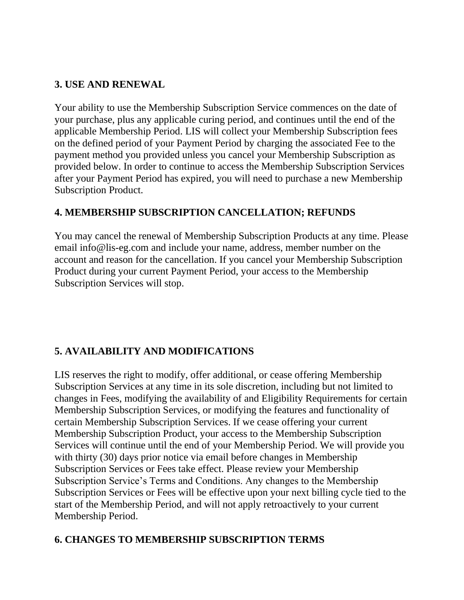### **3. USE AND RENEWAL**

Your ability to use the Membership Subscription Service commences on the date of your purchase, plus any applicable curing period, and continues until the end of the applicable Membership Period. LIS will collect your Membership Subscription fees on the defined period of your Payment Period by charging the associated Fee to the payment method you provided unless you cancel your Membership Subscription as provided below. In order to continue to access the Membership Subscription Services after your Payment Period has expired, you will need to purchase a new Membership Subscription Product.

### **4. MEMBERSHIP SUBSCRIPTION CANCELLATION; REFUNDS**

You may cancel the renewal of Membership Subscription Products at any time. Please email info@lis-eg.com and include your name, address, member number on the account and reason for the cancellation. If you cancel your Membership Subscription Product during your current Payment Period, your access to the Membership Subscription Services will stop.

## **5. AVAILABILITY AND MODIFICATIONS**

LIS reserves the right to modify, offer additional, or cease offering Membership Subscription Services at any time in its sole discretion, including but not limited to changes in Fees, modifying the availability of and Eligibility Requirements for certain Membership Subscription Services, or modifying the features and functionality of certain Membership Subscription Services. If we cease offering your current Membership Subscription Product, your access to the Membership Subscription Services will continue until the end of your Membership Period. We will provide you with thirty (30) days prior notice via email before changes in Membership Subscription Services or Fees take effect. Please review your Membership Subscription Service's Terms and Conditions. Any changes to the Membership Subscription Services or Fees will be effective upon your next billing cycle tied to the start of the Membership Period, and will not apply retroactively to your current Membership Period.

## **6. CHANGES TO MEMBERSHIP SUBSCRIPTION TERMS**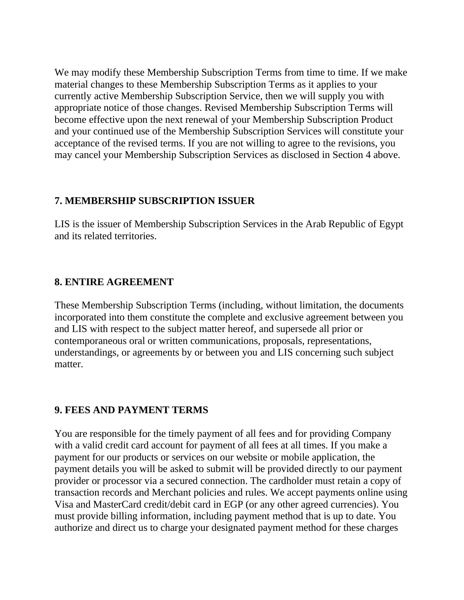We may modify these Membership Subscription Terms from time to time. If we make material changes to these Membership Subscription Terms as it applies to your currently active Membership Subscription Service, then we will supply you with appropriate notice of those changes. Revised Membership Subscription Terms will become effective upon the next renewal of your Membership Subscription Product and your continued use of the Membership Subscription Services will constitute your acceptance of the revised terms. If you are not willing to agree to the revisions, you may cancel your Membership Subscription Services as disclosed in Section 4 above.

#### **7. MEMBERSHIP SUBSCRIPTION ISSUER**

LIS is the issuer of Membership Subscription Services in the Arab Republic of Egypt and its related territories.

### **8. ENTIRE AGREEMENT**

These Membership Subscription Terms (including, without limitation, the documents incorporated into them constitute the complete and exclusive agreement between you and LIS with respect to the subject matter hereof, and supersede all prior or contemporaneous oral or written communications, proposals, representations, understandings, or agreements by or between you and LIS concerning such subject matter.

### **9. FEES AND PAYMENT TERMS**

You are responsible for the timely payment of all fees and for providing Company with a valid credit card account for payment of all fees at all times. If you make a payment for our products or services on our website or mobile application, the payment details you will be asked to submit will be provided directly to our payment provider or processor via a secured connection. The cardholder must retain a copy of transaction records and Merchant policies and rules. We accept payments online using Visa and MasterCard credit/debit card in EGP (or any other agreed currencies). You must provide billing information, including payment method that is up to date. You authorize and direct us to charge your designated payment method for these charges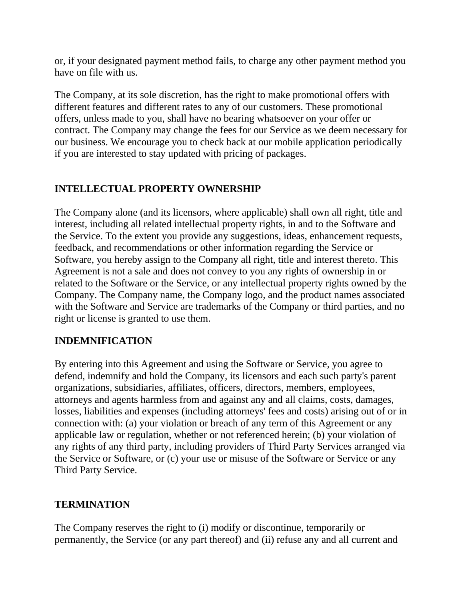or, if your designated payment method fails, to charge any other payment method you have on file with us.

The Company, at its sole discretion, has the right to make promotional offers with different features and different rates to any of our customers. These promotional offers, unless made to you, shall have no bearing whatsoever on your offer or contract. The Company may change the fees for our Service as we deem necessary for our business. We encourage you to check back at our mobile application periodically if you are interested to stay updated with pricing of packages.

## **INTELLECTUAL PROPERTY OWNERSHIP**

The Company alone (and its licensors, where applicable) shall own all right, title and interest, including all related intellectual property rights, in and to the Software and the Service. To the extent you provide any suggestions, ideas, enhancement requests, feedback, and recommendations or other information regarding the Service or Software, you hereby assign to the Company all right, title and interest thereto. This Agreement is not a sale and does not convey to you any rights of ownership in or related to the Software or the Service, or any intellectual property rights owned by the Company. The Company name, the Company logo, and the product names associated with the Software and Service are trademarks of the Company or third parties, and no right or license is granted to use them.

## **INDEMNIFICATION**

By entering into this Agreement and using the Software or Service, you agree to defend, indemnify and hold the Company, its licensors and each such party's parent organizations, subsidiaries, affiliates, officers, directors, members, employees, attorneys and agents harmless from and against any and all claims, costs, damages, losses, liabilities and expenses (including attorneys' fees and costs) arising out of or in connection with: (a) your violation or breach of any term of this Agreement or any applicable law or regulation, whether or not referenced herein; (b) your violation of any rights of any third party, including providers of Third Party Services arranged via the Service or Software, or (c) your use or misuse of the Software or Service or any Third Party Service.

## **TERMINATION**

The Company reserves the right to (i) modify or discontinue, temporarily or permanently, the Service (or any part thereof) and (ii) refuse any and all current and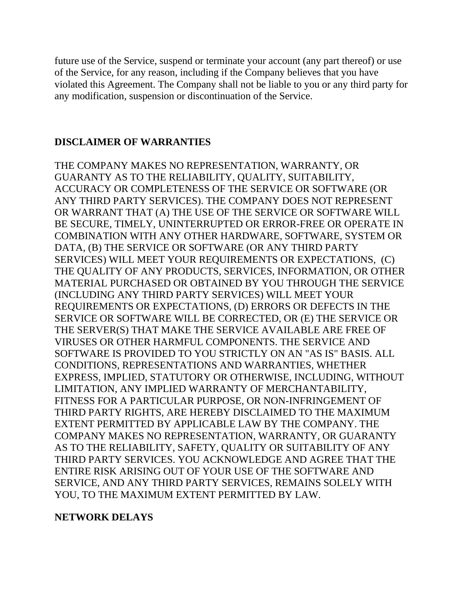future use of the Service, suspend or terminate your account (any part thereof) or use of the Service, for any reason, including if the Company believes that you have violated this Agreement. The Company shall not be liable to you or any third party for any modification, suspension or discontinuation of the Service.

#### **DISCLAIMER OF WARRANTIES**

THE COMPANY MAKES NO REPRESENTATION, WARRANTY, OR GUARANTY AS TO THE RELIABILITY, QUALITY, SUITABILITY, ACCURACY OR COMPLETENESS OF THE SERVICE OR SOFTWARE (OR ANY THIRD PARTY SERVICES). THE COMPANY DOES NOT REPRESENT OR WARRANT THAT (A) THE USE OF THE SERVICE OR SOFTWARE WILL BE SECURE, TIMELY, UNINTERRUPTED OR ERROR-FREE OR OPERATE IN COMBINATION WITH ANY OTHER HARDWARE, SOFTWARE, SYSTEM OR DATA, (B) THE SERVICE OR SOFTWARE (OR ANY THIRD PARTY SERVICES) WILL MEET YOUR REQUIREMENTS OR EXPECTATIONS, (C) THE QUALITY OF ANY PRODUCTS, SERVICES, INFORMATION, OR OTHER MATERIAL PURCHASED OR OBTAINED BY YOU THROUGH THE SERVICE (INCLUDING ANY THIRD PARTY SERVICES) WILL MEET YOUR REQUIREMENTS OR EXPECTATIONS, (D) ERRORS OR DEFECTS IN THE SERVICE OR SOFTWARE WILL BE CORRECTED, OR (E) THE SERVICE OR THE SERVER(S) THAT MAKE THE SERVICE AVAILABLE ARE FREE OF VIRUSES OR OTHER HARMFUL COMPONENTS. THE SERVICE AND SOFTWARE IS PROVIDED TO YOU STRICTLY ON AN "AS IS" BASIS. ALL CONDITIONS, REPRESENTATIONS AND WARRANTIES, WHETHER EXPRESS, IMPLIED, STATUTORY OR OTHERWISE, INCLUDING, WITHOUT LIMITATION, ANY IMPLIED WARRANTY OF MERCHANTABILITY, FITNESS FOR A PARTICULAR PURPOSE, OR NON-INFRINGEMENT OF THIRD PARTY RIGHTS, ARE HEREBY DISCLAIMED TO THE MAXIMUM EXTENT PERMITTED BY APPLICABLE LAW BY THE COMPANY. THE COMPANY MAKES NO REPRESENTATION, WARRANTY, OR GUARANTY AS TO THE RELIABILITY, SAFETY, QUALITY OR SUITABILITY OF ANY THIRD PARTY SERVICES. YOU ACKNOWLEDGE AND AGREE THAT THE ENTIRE RISK ARISING OUT OF YOUR USE OF THE SOFTWARE AND SERVICE, AND ANY THIRD PARTY SERVICES, REMAINS SOLELY WITH YOU, TO THE MAXIMUM EXTENT PERMITTED BY LAW.

#### **NETWORK DELAYS**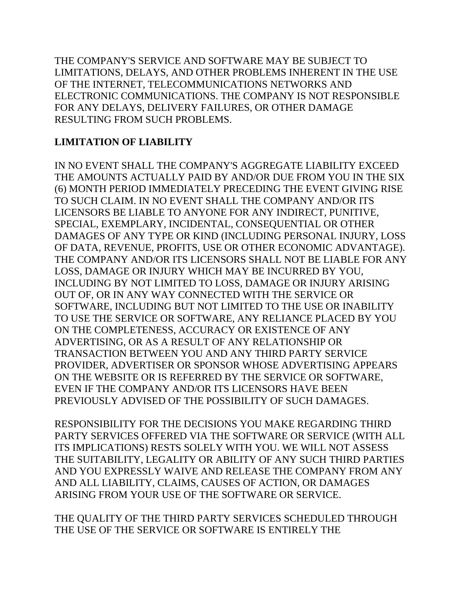THE COMPANY'S SERVICE AND SOFTWARE MAY BE SUBJECT TO LIMITATIONS, DELAYS, AND OTHER PROBLEMS INHERENT IN THE USE OF THE INTERNET, TELECOMMUNICATIONS NETWORKS AND ELECTRONIC COMMUNICATIONS. THE COMPANY IS NOT RESPONSIBLE FOR ANY DELAYS, DELIVERY FAILURES, OR OTHER DAMAGE RESULTING FROM SUCH PROBLEMS.

## **LIMITATION OF LIABILITY**

IN NO EVENT SHALL THE COMPANY'S AGGREGATE LIABILITY EXCEED THE AMOUNTS ACTUALLY PAID BY AND/OR DUE FROM YOU IN THE SIX (6) MONTH PERIOD IMMEDIATELY PRECEDING THE EVENT GIVING RISE TO SUCH CLAIM. IN NO EVENT SHALL THE COMPANY AND/OR ITS LICENSORS BE LIABLE TO ANYONE FOR ANY INDIRECT, PUNITIVE, SPECIAL, EXEMPLARY, INCIDENTAL, CONSEQUENTIAL OR OTHER DAMAGES OF ANY TYPE OR KIND (INCLUDING PERSONAL INJURY, LOSS OF DATA, REVENUE, PROFITS, USE OR OTHER ECONOMIC ADVANTAGE). THE COMPANY AND/OR ITS LICENSORS SHALL NOT BE LIABLE FOR ANY LOSS, DAMAGE OR INJURY WHICH MAY BE INCURRED BY YOU, INCLUDING BY NOT LIMITED TO LOSS, DAMAGE OR INJURY ARISING OUT OF, OR IN ANY WAY CONNECTED WITH THE SERVICE OR SOFTWARE, INCLUDING BUT NOT LIMITED TO THE USE OR INABILITY TO USE THE SERVICE OR SOFTWARE, ANY RELIANCE PLACED BY YOU ON THE COMPLETENESS, ACCURACY OR EXISTENCE OF ANY ADVERTISING, OR AS A RESULT OF ANY RELATIONSHIP OR TRANSACTION BETWEEN YOU AND ANY THIRD PARTY SERVICE PROVIDER, ADVERTISER OR SPONSOR WHOSE ADVERTISING APPEARS ON THE WEBSITE OR IS REFERRED BY THE SERVICE OR SOFTWARE, EVEN IF THE COMPANY AND/OR ITS LICENSORS HAVE BEEN PREVIOUSLY ADVISED OF THE POSSIBILITY OF SUCH DAMAGES.

RESPONSIBILITY FOR THE DECISIONS YOU MAKE REGARDING THIRD PARTY SERVICES OFFERED VIA THE SOFTWARE OR SERVICE (WITH ALL ITS IMPLICATIONS) RESTS SOLELY WITH YOU. WE WILL NOT ASSESS THE SUITABILITY, LEGALITY OR ABILITY OF ANY SUCH THIRD PARTIES AND YOU EXPRESSLY WAIVE AND RELEASE THE COMPANY FROM ANY AND ALL LIABILITY, CLAIMS, CAUSES OF ACTION, OR DAMAGES ARISING FROM YOUR USE OF THE SOFTWARE OR SERVICE.

THE QUALITY OF THE THIRD PARTY SERVICES SCHEDULED THROUGH THE USE OF THE SERVICE OR SOFTWARE IS ENTIRELY THE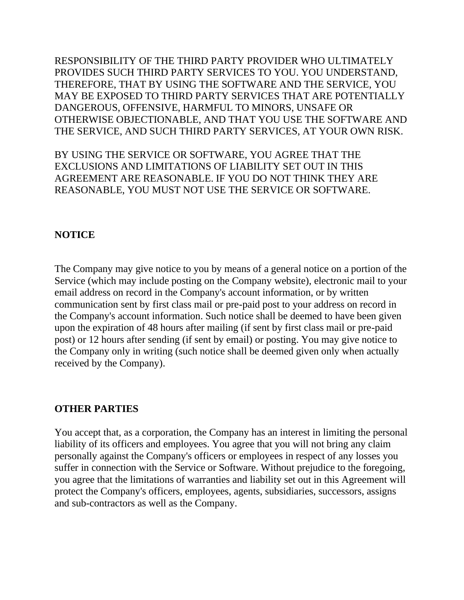RESPONSIBILITY OF THE THIRD PARTY PROVIDER WHO ULTIMATELY PROVIDES SUCH THIRD PARTY SERVICES TO YOU. YOU UNDERSTAND, THEREFORE, THAT BY USING THE SOFTWARE AND THE SERVICE, YOU MAY BE EXPOSED TO THIRD PARTY SERVICES THAT ARE POTENTIALLY DANGEROUS, OFFENSIVE, HARMFUL TO MINORS, UNSAFE OR OTHERWISE OBJECTIONABLE, AND THAT YOU USE THE SOFTWARE AND THE SERVICE, AND SUCH THIRD PARTY SERVICES, AT YOUR OWN RISK.

BY USING THE SERVICE OR SOFTWARE, YOU AGREE THAT THE EXCLUSIONS AND LIMITATIONS OF LIABILITY SET OUT IN THIS AGREEMENT ARE REASONABLE. IF YOU DO NOT THINK THEY ARE REASONABLE, YOU MUST NOT USE THE SERVICE OR SOFTWARE.

#### **NOTICE**

The Company may give notice to you by means of a general notice on a portion of the Service (which may include posting on the Company website), electronic mail to your email address on record in the Company's account information, or by written communication sent by first class mail or pre-paid post to your address on record in the Company's account information. Such notice shall be deemed to have been given upon the expiration of 48 hours after mailing (if sent by first class mail or pre-paid post) or 12 hours after sending (if sent by email) or posting. You may give notice to the Company only in writing (such notice shall be deemed given only when actually received by the Company).

#### **OTHER PARTIES**

You accept that, as a corporation, the Company has an interest in limiting the personal liability of its officers and employees. You agree that you will not bring any claim personally against the Company's officers or employees in respect of any losses you suffer in connection with the Service or Software. Without prejudice to the foregoing, you agree that the limitations of warranties and liability set out in this Agreement will protect the Company's officers, employees, agents, subsidiaries, successors, assigns and sub-contractors as well as the Company.